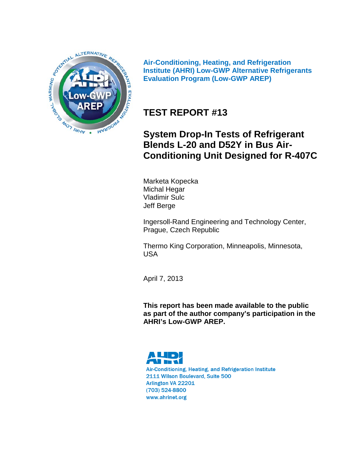

**Air-Conditioning, Heating, and Refrigeration Institute (AHRI) Low-GWP Alternative Refrigerants Evaluation Program (Low-GWP AREP)**

## **TEST REPORT #13**

## **System Drop-In Tests of Refrigerant Blends L-20 and D52Y in Bus Air-Conditioning Unit Designed for R-407C**

Marketa Kopecka Michal Hegar Vladimir Sulc Jeff Berge

Ingersoll-Rand Engineering and Technology Center, Prague, Czech Republic

Thermo King Corporation, Minneapolis, Minnesota, USA

April 7, 2013

**This report has been made available to the public as part of the author company's participation in the AHRI's Low-GWP AREP.**

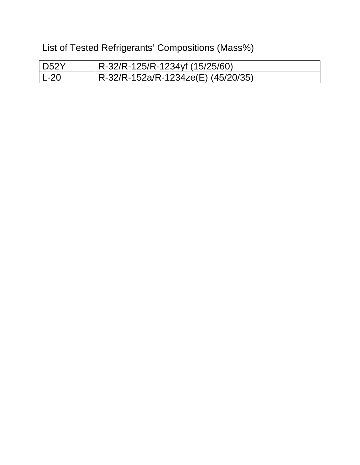List of Tested Refrigerants' Compositions (Mass%)

| D52Y   | R-32/R-125/R-1234yf (15/25/60)     |
|--------|------------------------------------|
| $L-20$ | R-32/R-152a/R-1234ze(E) (45/20/35) |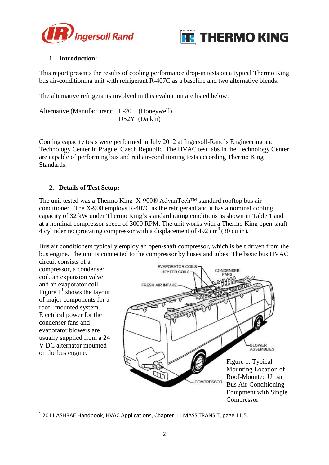



### **1. Introduction:**

This report presents the results of cooling performance drop-in tests on a typical Thermo King bus air-conditioning unit with refrigerant R-407C as a baseline and two alternative blends.

The alternative refrigerants involved in this evaluation are listed below:

Alternative (Manufacturer): L-20 (Honeywell) D52Y (Daikin)

Cooling capacity tests were performed in July 2012 at Ingersoll-Rand's Engineering and Technology Center in Prague, Czech Republic. The HVAC test labs in the Technology Center are capable of performing bus and rail air-conditioning tests according Thermo King Standards.

#### **2. Details of Test Setup:**

The unit tested was a Thermo King X-900® AdvanTech™ standard rooftop bus air conditioner. The X-900 employs R-407C as the refrigerant and it has a nominal cooling capacity of 32 kW under Thermo King's standard rating conditions as shown in Table 1 and at a nominal compressor speed of 3000 RPM. The unit works with a Thermo King open-shaft 4 cylinder reciprocating compressor with a displacement of  $492 \text{ cm}^3$  (30 cu in).

Bus air conditioners typically employ an open-shaft compressor, which is belt driven from the bus engine. The unit is connected to the compressor by hoses and tubes. The basic bus HVAC circuit consists of a

compressor, a condenser coil, an expansion valve and an evaporator coil. Figure  $1^1$  shows the layout of major components for a roof –mounted system. Electrical power for the condenser fans and evaporator blowers are usually supplied from a 24 V DC alternator mounted on the bus engine.

**.** 



 $^1$  2011 ASHRAE Handbook, HVAC Applications, Chapter 11 MASS TRANSIT, page 11.5.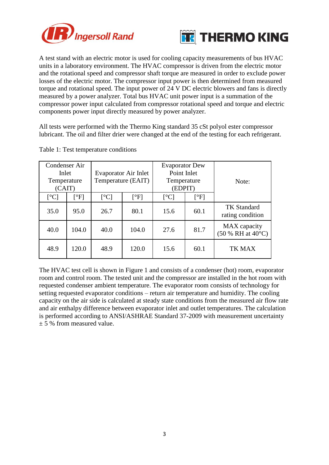



A test stand with an electric motor is used for cooling capacity measurements of bus HVAC units in a laboratory environment. The HVAC compressor is driven from the electric motor and the rotational speed and compressor shaft torque are measured in order to exclude power losses of the electric motor. The compressor input power is then determined from measured torque and rotational speed. The input power of 24 V DC electric blowers and fans is directly measured by a power analyzer. Total bus HVAC unit power input is a summation of the compressor power input calculated from compressor rotational speed and torque and electric components power input directly measured by power analyzer.

All tests were performed with the Thermo King standard 35 cSt polyol ester compressor lubricant. The oil and filter drier were changed at the end of the testing for each refrigerant.

| Condenser Air<br>Inlet<br>Temperature<br>(CAIT) |                   |                          | Evaporator Air Inlet<br>Temperature (EAIT) | <b>Evaporator Dew</b><br>Point Inlet<br>Temperature<br>(EDPIT) |                                     | Note:                                  |  |  |
|-------------------------------------------------|-------------------|--------------------------|--------------------------------------------|----------------------------------------------------------------|-------------------------------------|----------------------------------------|--|--|
| $[^{\circ}C]$                                   | $\mathsf{[^o F]}$ | $\lceil$ <sup>o</sup> Cl | $[$ <sup>o</sup> F]                        | $\lceil$ <sup>o</sup> Cl                                       | $\lceil \, \circ \mathrm{F} \rceil$ |                                        |  |  |
| 35.0                                            | 95.0              | 26.7<br>80.1             |                                            | 15.6                                                           | 60.1                                | <b>TK Standard</b><br>rating condition |  |  |
| 40.0                                            | 104.0             | 40.0                     | 104.0                                      | 27.6                                                           | 81.7                                | MAX capacity<br>(50 % RH at 40°C)      |  |  |
| 48.9                                            | 120.0             | 48.9                     | 120.0                                      | 15.6                                                           | 60.1                                | TK MAX                                 |  |  |

Table 1: Test temperature conditions

The HVAC test cell is shown in Figure 1 and consists of a condenser (hot) room, evaporator room and control room. The tested unit and the compressor are installed in the hot room with requested condenser ambient temperature. The evaporator room consists of technology for setting requested evaporator conditions – return air temperature and humidity. The cooling capacity on the air side is calculated at steady state conditions from the measured air flow rate and air enthalpy difference between evaporator inlet and outlet temperatures. The calculation is performed according to ANSI/ASHRAE Standard 37-2009 with measurement uncertainty  $\pm$  5 % from measured value.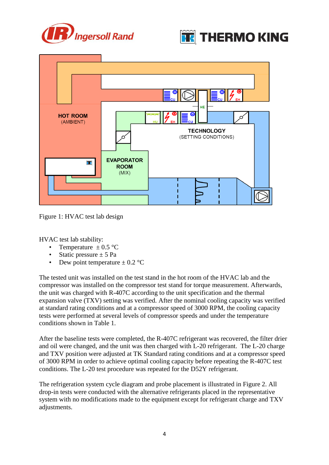





Figure 1: HVAC test lab design

HVAC test lab stability:

- Temperature  $\pm$  0.5 °C
- Static pressure  $\pm$  5 Pa
- Dew point temperature  $\pm$  0.2 °C

The tested unit was installed on the test stand in the hot room of the HVAC lab and the compressor was installed on the compressor test stand for torque measurement. Afterwards, the unit was charged with R-407C according to the unit specification and the thermal expansion valve (TXV) setting was verified. After the nominal cooling capacity was verified at standard rating conditions and at a compressor speed of 3000 RPM, the cooling capacity tests were performed at several levels of compressor speeds and under the temperature conditions shown in Table 1.

After the baseline tests were completed, the R-407C refrigerant was recovered, the filter drier and oil were changed, and the unit was then charged with L-20 refrigerant. The L-20 charge and TXV position were adjusted at TK Standard rating conditions and at a compressor speed of 3000 RPM in order to achieve optimal cooling capacity before repeating the R-407C test conditions. The L-20 test procedure was repeated for the D52Y refrigerant.

The refrigeration system cycle diagram and probe placement is illustrated in Figure 2. All drop-in tests were conducted with the alternative refrigerants placed in the representative system with no modifications made to the equipment except for refrigerant charge and TXV adjustments.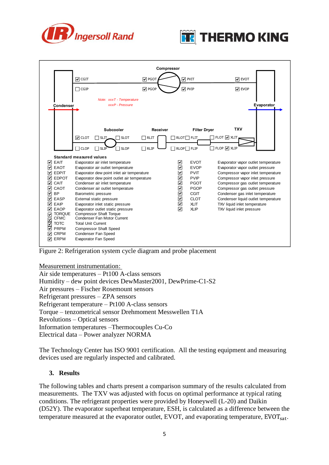





Figure 2: Refrigeration system cycle diagram and probe placement

Measurement instrumentation:

Air side temperatures – Pt100 A-class sensors Humidity – dew point devices DewMaster2001, DewPrime-C1-S2 Air pressures – Fischer Rosemount sensors Refrigerant pressures – ZPA sensors Refrigerant temperature – Pt100 A-class sensors Torque – tenzometrical sensor Drehmoment Messwellen T1A Revolutions – Optical sensors Information temperatures –Thermocouples Cu-Co Electrical data – Power analyzer NORMA

The Technology Center has ISO 9001 certification. All the testing equipment and measuring devices used are regularly inspected and calibrated.

#### **3. Results**

The following tables and charts present a comparison summary of the results calculated from measurements. The TXV was adjusted with focus on optimal performance at typical rating conditions. The refrigerant properties were provided by Honeywell (L-20) and Daikin (D52Y). The evaporator superheat temperature, ESH, is calculated as a difference between the temperature measured at the evaporator outlet, EVOT, and evaporating temperature,  $EVOT_{sat}$ .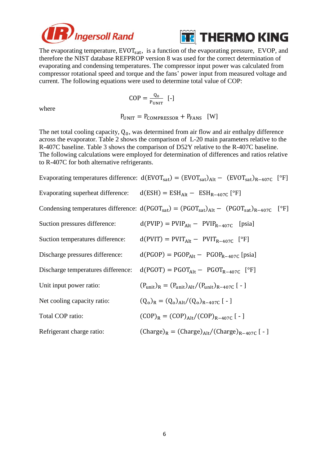



The evaporating temperature,  $EVOT_{sat}$ , is a function of the evaporating pressure,  $EVOP$ , and therefore the NIST database REFPROP version 8 was used for the correct determination of evaporating and condensing temperatures. The compressor input power was calculated from compressor rotational speed and torque and the fans' power input from measured voltage and current. The following equations were used to determine total value of COP:

$$
COP = \frac{Q_0}{P_{UNIT}} \quad [-]
$$

 $P_{UNIT} = P_{COMPRESSOR} + P_{FANS}$  [W]

The net total cooling capacity,  $Q_0$ , was determined from air flow and air enthalpy difference across the evaporator. Table 2 shows the comparison of L-20 main parameters relative to the R-407C baseline. Table 3 shows the comparison of D52Y relative to the R-407C baseline. The following calculations were employed for determination of differences and ratios relative to R-407C for both alternative refrigerants.

Evaporating temperatures difference:  $d(EVOT_{sat}) = (EVOT_{sat})_{Alt} - (EVOT_{sat})_{R-407C}$  [<sup>o</sup>F] Evaporating superheat difference:  $d(ESH) = ESH<sub>Alt</sub> - ESH<sub>R-407C</sub>$  [°F] Condensing temperatures difference:  $d(PGOT_{sat}) = (PGOT_{sat})_{Alt} - (PGOT_{sat})_{R-407C}$  [<sup>o</sup>F] Suction pressures difference:  $d(PVIP) = PVIP<sub>Alt</sub> - PVIP<sub>R-407C</sub>$  [psia] Suction temperatures difference:  $d(PVIT) = PVIT_{Alt} - PVIT_{R-407C}$  [°F] Discharge pressures difference:  $d(PGOP) = PGOP<sub>Alt</sub> - PGOP<sub>R-407C</sub>$  [psia] Discharge temperatures difference:  $d(PGOT) = PGOT<sub>Alt</sub> - PGOT<sub>R-407C</sub>$  [<sup>o</sup>F] Unit input power ratio:  $(P_{\text{unit}})_R = (P_{\text{unit}})_{\text{Alt}} / (P_{\text{unit}})_{R-407 \text{ C}} [-1]$ Net cooling capacity ratio:  $)_{R} = (Q_{o})_{Alt} / (Q_{o})_{R-407C}$  [ - ] Total COP ratio:  $(COP)_{R} = (COP)_{Alt} / (COP)_{R-407C}$  [-] Refrigerant charge ratio:  $\text{(Change)}_{R} = \text{(Change)}_{Alt}/\text{(Change)}_{R-407C}$  [-]

where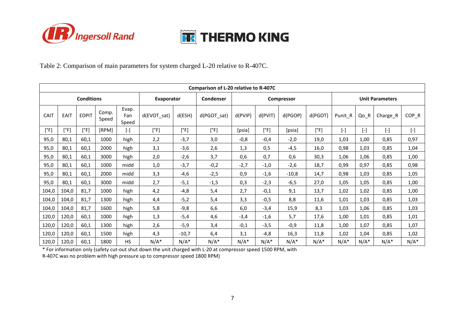



Table 2: Comparison of main parameters for system charged L-20 relative to R-407C.

| Comparison of L-20 relative to R-407C |             |               |                |                       |                |                  |             |         |                |         |                        |                        |           |           |           |
|---------------------------------------|-------------|---------------|----------------|-----------------------|----------------|------------------|-------------|---------|----------------|---------|------------------------|------------------------|-----------|-----------|-----------|
| <b>Conditions</b>                     |             |               |                | Evaporator            |                | <b>Condenser</b> | Compressor  |         |                |         | <b>Unit Parameters</b> |                        |           |           |           |
| CAIT                                  | <b>EAIT</b> | <b>EDPIT</b>  | Comp.<br>Speed | Evap.<br>Fan<br>Speed | $d$ (EVOT sat) | d(ESH)           | d(PGOT_sat) | d(PVIP) | d(PVIT)        | d(PGOP) | d(PGOT)                | Punit R                | Qo R      | Charge_R  | COP R     |
| [°F]                                  | [°F]        | $[^{\circ}F]$ | [RPM]          | $[\cdot]$             | [°F]           | [°F]             | [°F]        | [psia]  | $[^{\circ}$ F] | [psia]  | [°F]                   | $\left[ \cdot \right]$ | $[\cdot]$ | $[\cdot]$ | $[\cdot]$ |
| 95,0                                  | 80,1        | 60,1          | 1000           | high                  | 2,2            | $-3,7$           | 3,0         | $-0,8$  | $-0,4$         | $-2,0$  | 19,0                   | 1,03                   | 1,00      | 0,85      | 0,97      |
| 95,0                                  | 80,1        | 60,1          | 2000           | high                  | 3,1            | $-3,6$           | 2,6         | 1,3     | 0,5            | $-4,5$  | 16,0                   | 0,98                   | 1,03      | 0,85      | 1,04      |
| 95,0                                  | 80,1        | 60,1          | 3000           | high                  | 2,0            | $-2,6$           | 3,7         | 0,6     | 0,7            | 0,6     | 30,3                   | 1,06                   | 1,06      | 0,85      | 1,00      |
| 95,0                                  | 80,1        | 60,1          | 1000           | midd                  | 1,0            | $-3,7$           | $-0,2$      | $-2,7$  | $-1,0$         | $-2,6$  | 18,7                   | 0,99                   | 0,97      | 0,85      | 0,98      |
| 95,0                                  | 80,1        | 60,1          | 2000           | midd                  | 3,3            | $-4,6$           | $-2,5$      | 0,9     | $-1,6$         | $-10,8$ | 14,7                   | 0,98                   | 1,03      | 0,85      | 1,05      |
| 95,0                                  | 80,1        | 60,1          | 3000           | midd                  | 2,7            | $-5,1$           | $-1,5$      | 0,3     | $-2,3$         | $-6,5$  | 27,0                   | 1,05                   | 1,05      | 0,85      | 1,00      |
| 104,0                                 | 104,0       | 81,7          | 1000           | high                  | 4,2            | $-4,8$           | 5,4         | 2,7     | $-0,1$         | 9,1     | 13,7                   | 1,02                   | 1,02      | 0,85      | 1,00      |
| 104,0                                 | 104,0       | 81,7          | 1300           | high                  | 4,4            | $-5,2$           | 5,4         | 3,3     | $-0,5$         | 8,8     | 11,6                   | 1,01                   | 1,03      | 0,85      | 1,03      |
| 104,0                                 | 104,0       | 81,7          | 1600           | high                  | 5,8            | $-9,8$           | 6,6         | 6,0     | $-3,4$         | 15,9    | 8,3                    | 1,03                   | 1,06      | 0,85      | 1,03      |
| 120,0                                 | 120,0       | 60,1          | 1000           | high                  | 1,3            | $-5,4$           | 4,6         | $-3,4$  | $-1,6$         | 5,7     | 17,6                   | 1,00                   | 1,01      | 0,85      | 1,01      |
| 120,0                                 | 120,0       | 60,1          | 1300           | high                  | 2,6            | $-5,9$           | 3,4         | $-0,1$  | $-3,5$         | $-0,9$  | 11,8                   | 1,00                   | 1,07      | 0,85      | 1,07      |
| 120,0                                 | 120,0       | 60,1          | 1500           | high                  | 4,3            | $-10,7$          | 6,4         | 3,1     | $-4,8$         | 16,3    | 11,8                   | 1,02                   | 1,04      | 0,85      | 1,02      |
| 120,0                                 | 120,0       | 60,1          | 1800           | <b>HS</b>             | $N/A^*$        | $N/A^*$          | $N/A^*$     | $N/A^*$ | $N/A^*$        | $N/A^*$ | $N/A^*$                | $N/A^*$                | $N/A^*$   | $N/A^*$   | $N/A^*$   |

\* For information only (safety cut-out shut down the unit charged with L-20 at compressor speed 1500 RPM, with

R-407C was no problem with high pressure up to compressor speed 1800 RPM)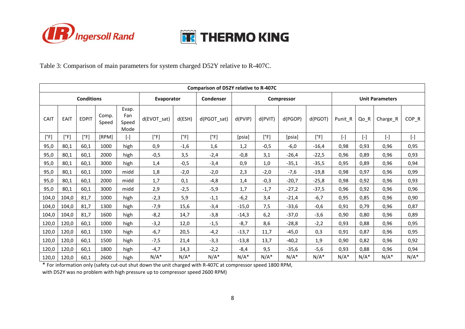



Table 3: Comparison of main parameters for system charged D52Y relative to R-407C.

| Comparison of D52Y relative to R-407C |             |               |                |                               |                |            |             |         |                        |         |         |           |                        |           |           |
|---------------------------------------|-------------|---------------|----------------|-------------------------------|----------------|------------|-------------|---------|------------------------|---------|---------|-----------|------------------------|-----------|-----------|
| <b>Conditions</b>                     |             |               | Evaporator     |                               | Condenser      | Compressor |             |         | <b>Unit Parameters</b> |         |         |           |                        |           |           |
| CAIT                                  | <b>EAIT</b> | <b>EDPIT</b>  | Comp.<br>Speed | Evap.<br>Fan<br>Speed<br>Mode | $d$ (EVOT sat) | d(ESH)     | d(PGOT sat) | d(PVIP) | d(PVIT)                | d(PGOP) | d(PGOT) | Punit R   | Qo_R                   | Charge_R  | COP R     |
| [°F]                                  | [°F]        | $[^{\circ}F]$ | <b>[RPM]</b>   | $[\cdot]$                     | [°F]           | [°F]       | [°F]        | [psia]  | [°F]                   | [psia]  | [°F]    | $[\cdot]$ | $\left[ \cdot \right]$ | $[\cdot]$ | $[\cdot]$ |
| 95,0                                  | 80,1        | 60,1          | 1000           | high                          | 0,9            | $-1,6$     | 1,6         | 1,2     | $-0,5$                 | $-6,0$  | $-16,4$ | 0,98      | 0,93                   | 0,96      | 0,95      |
| 95,0                                  | 80,1        | 60,1          | 2000           | high                          | $-0,5$         | 3,5        | $-2,4$      | $-0,8$  | 3,1                    | $-26,4$ | $-22,5$ | 0,96      | 0.89                   | 0,96      | 0,93      |
| 95,0                                  | 80,1        | 60,1          | 3000           | high                          | 1,4            | $-0,5$     | $-3,4$      | 0,9     | 1,0                    | $-35,1$ | $-35,5$ | 0,95      | 0,89                   | 0,96      | 0,94      |
| 95,0                                  | 80,1        | 60.1          | 1000           | midd                          | 1,8            | $-2,0$     | $-2,0$      | 2,3     | $-2,0$                 | $-7,6$  | $-19,8$ | 0,98      | 0,97                   | 0,96      | 0,99      |
| 95,0                                  | 80.1        | 60.1          | 2000           | midd                          | 1,7            | 0,1        | $-4,8$      | 1,4     | $-0,3$                 | $-20,7$ | $-25,8$ | 0,98      | 0.92                   | 0,96      | 0,93      |
| 95,0                                  | 80,1        | 60,1          | 3000           | midd                          | 2,9            | $-2,5$     | $-5,9$      | 1,7     | $-1,7$                 | $-27,2$ | $-37,5$ | 0.96      | 0,92                   | 0.96      | 0,96      |
| 104,0                                 | 104,0       | 81,7          | 1000           | high                          | $-2,3$         | 5,9        | $-1,1$      | $-6,2$  | 3,4                    | $-21,4$ | $-6,7$  | 0,95      | 0.85                   | 0,96      | 0,90      |
| 104,0                                 | 104,0       | 81,7          | 1300           | high                          | $-7,9$         | 15,6       | $-3,4$      | $-15,0$ | 7,5                    | $-33,6$ | $-0,6$  | 0,91      | 0,79                   | 0,96      | 0,87      |
| 104,0                                 | 104,0       | 81.7          | 1600           | high                          | $-8,2$         | 14,7       | $-3,8$      | $-14,3$ | 6,2                    | $-37,0$ | $-3,6$  | 0.90      | 0.80                   | 0,96      | 0,89      |
| 120,0                                 | 120,0       | 60,1          | 1000           | high                          | $-3,2$         | 12,0       | $-1,5$      | $-8,7$  | 8,6                    | $-28,8$ | $-2,2$  | 0,93      | 0,88                   | 0,96      | 0,95      |
| 120,0                                 | 120,0       | 60,1          | 1300           | high                          | $-6,7$         | 20,5       | $-4,2$      | $-13,7$ | 11,7                   | $-45,0$ | 0,3     | 0,91      | 0,87                   | 0,96      | 0,95      |
| 120,0                                 | 120,0       | 60,1          | 1500           | high                          | $-7,5$         | 21,4       | $-3,3$      | $-13,8$ | 13,7                   | $-40,2$ | 1,9     | 0,90      | 0,82                   | 0,96      | 0,92      |
| 120,0                                 | 120,0       | 60,1          | 1800           | high                          | $-4,7$         | 14,3       | $-2,2$      | $-8,4$  | 9,5                    | $-35,6$ | $-5,6$  | 0,93      | 0.88                   | 0,96      | 0,94      |
| 120,0                                 | 120,0       | 60,1          | 2600           | high                          | $N/A^*$        | $N/A^*$    | $N/A^*$     | $N/A^*$ | $N/A^*$                | $N/A^*$ | $N/A^*$ | $N/A^*$   | $N/A^*$                | $N/A^*$   | $N/A^*$   |

\* For information only (safety cut-out shut down the unit charged with R-407C at compressor speed 1800 RPM,

with D52Y was no problem with high pressure up to compressor speed 2600 RPM)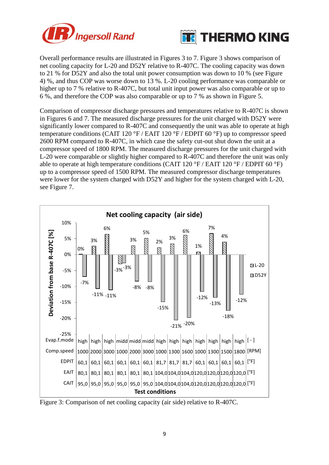



Overall performance results are illustrated in Figures 3 to 7. Figure 3 shows comparison of net cooling capacity for L-20 and D52Y relative to R-407C. The cooling capacity was down to 21 % for D52Y and also the total unit power consumption was down to 10 % (see Figure 4) %, and thus COP was worse down to 13 %. L-20 cooling performance was comparable or higher up to 7 % relative to R-407C, but total unit input power was also comparable or up to 6 %, and therefore the COP was also comparable or up to 7 % as shown in Figure 5.

Comparison of compressor discharge pressures and temperatures relative to R-407C is shown in Figures 6 and 7. The measured discharge pressures for the unit charged with D52Y were significantly lower compared to R-407C and consequently the unit was able to operate at high temperature conditions (CAIT 120  $\degree$ F / EAIT 120  $\degree$ F / EDPIT 60  $\degree$ F) up to compressor speed 2600 RPM compared to R-407C, in which case the safety cut-out shut down the unit at a compressor speed of 1800 RPM. The measured discharge pressures for the unit charged with L-20 were comparable or slightly higher compared to R-407C and therefore the unit was only able to operate at high temperature conditions (CAIT 120  $\degree$ F / EAIT 120  $\degree$ F / EDPIT 60  $\degree$ F) up to a compressor speed of 1500 RPM. The measured compressor discharge temperatures were lower for the system charged with D52Y and higher for the system charged with L-20, see Figure 7.



Figure 3: Comparison of net cooling capacity (air side) relative to R-407C.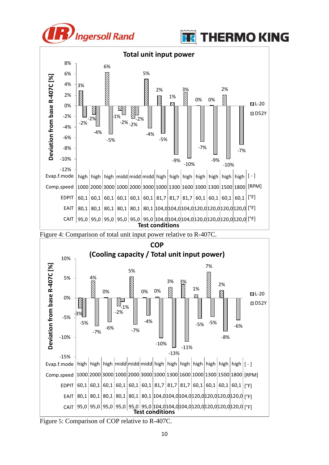









Figure 5: Comparison of COP relative to R-407C.